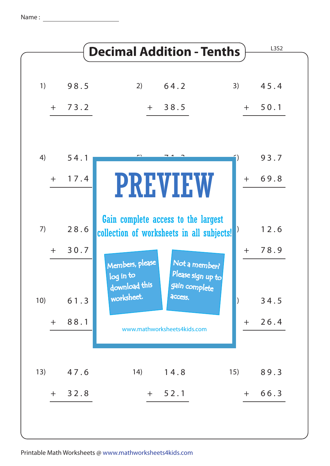